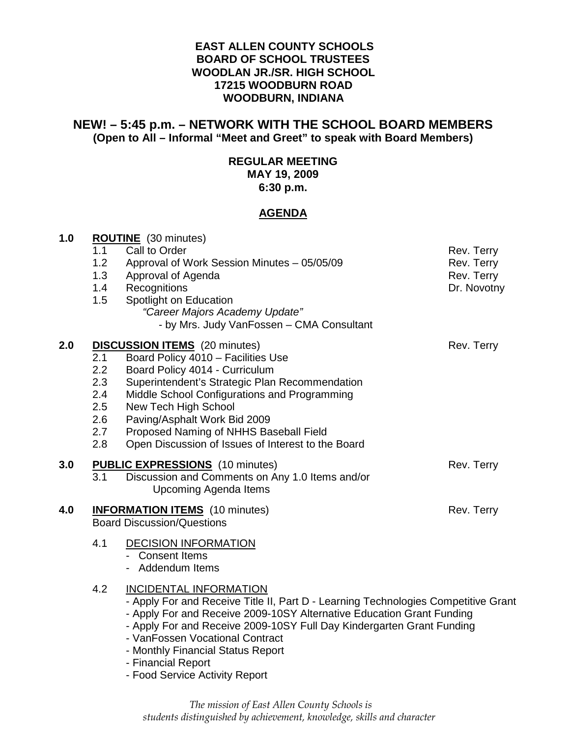### **EAST ALLEN COUNTY SCHOOLS BOARD OF SCHOOL TRUSTEES WOODLAN JR./SR. HIGH SCHOOL 17215 WOODBURN ROAD WOODBURN, INDIANA**

# **NEW! – 5:45 p.m. – NETWORK WITH THE SCHOOL BOARD MEMBERS (Open to All – Informal "Meet and Greet" to speak with Board Members)**

# **REGULAR MEETING**

**MAY 19, 2009** 

**6:30 p.m.** 

# **AGENDA**

| 1.0 | <b>ROUTINE</b> (30 minutes) |                                                                                    |             |  |  |
|-----|-----------------------------|------------------------------------------------------------------------------------|-------------|--|--|
|     | 1.1                         | Call to Order                                                                      | Rev. Terry  |  |  |
|     | 1.2                         | Approval of Work Session Minutes - 05/05/09                                        | Rev. Terry  |  |  |
|     | 1.3                         | Approval of Agenda                                                                 | Rev. Terry  |  |  |
|     | 1.4                         | Recognitions                                                                       | Dr. Novotny |  |  |
|     | 1.5                         | Spotlight on Education                                                             |             |  |  |
|     |                             | "Career Majors Academy Update"                                                     |             |  |  |
|     |                             | - by Mrs. Judy VanFossen - CMA Consultant                                          |             |  |  |
| 2.0 |                             | <b>DISCUSSION ITEMS</b> (20 minutes)<br>Rev. Terry                                 |             |  |  |
|     | 2.1                         | Board Policy 4010 - Facilities Use                                                 |             |  |  |
|     | 2.2                         | Board Policy 4014 - Curriculum                                                     |             |  |  |
|     | 2.3                         | Superintendent's Strategic Plan Recommendation                                     |             |  |  |
|     | 2.4                         | Middle School Configurations and Programming                                       |             |  |  |
|     | 2.5                         | New Tech High School                                                               |             |  |  |
|     | 2.6                         | Paving/Asphalt Work Bid 2009                                                       |             |  |  |
|     | 2.7                         | Proposed Naming of NHHS Baseball Field                                             |             |  |  |
|     | 2.8                         | Open Discussion of Issues of Interest to the Board                                 |             |  |  |
| 3.0 |                             | <b>PUBLIC EXPRESSIONS</b> (10 minutes)                                             | Rev. Terry  |  |  |
|     | 3.1                         | Discussion and Comments on Any 1.0 Items and/or                                    |             |  |  |
|     |                             | <b>Upcoming Agenda Items</b>                                                       |             |  |  |
| 4.0 |                             | <b>INFORMATION ITEMS</b> (10 minutes)                                              | Rev. Terry  |  |  |
|     |                             | <b>Board Discussion/Questions</b>                                                  |             |  |  |
|     | 4.1                         | <b>DECISION INFORMATION</b>                                                        |             |  |  |
|     |                             | - Consent Items                                                                    |             |  |  |
|     |                             | - Addendum Items                                                                   |             |  |  |
|     | 4.2                         | <b>INCIDENTAL INFORMATION</b>                                                      |             |  |  |
|     |                             | - Apply For and Receive Title II, Part D - Learning Technologies Competitive Grant |             |  |  |
|     |                             | - Apply For and Receive 2009-10SY Alternative Education Grant Funding              |             |  |  |
|     |                             | - Apply For and Receive 2009-10SY Full Day Kindergarten Grant Funding              |             |  |  |
|     |                             | - VanFossen Vocational Contract                                                    |             |  |  |
|     |                             | - Monthly Financial Status Report                                                  |             |  |  |
|     |                             | - Financial Report                                                                 |             |  |  |

- Food Service Activity Report